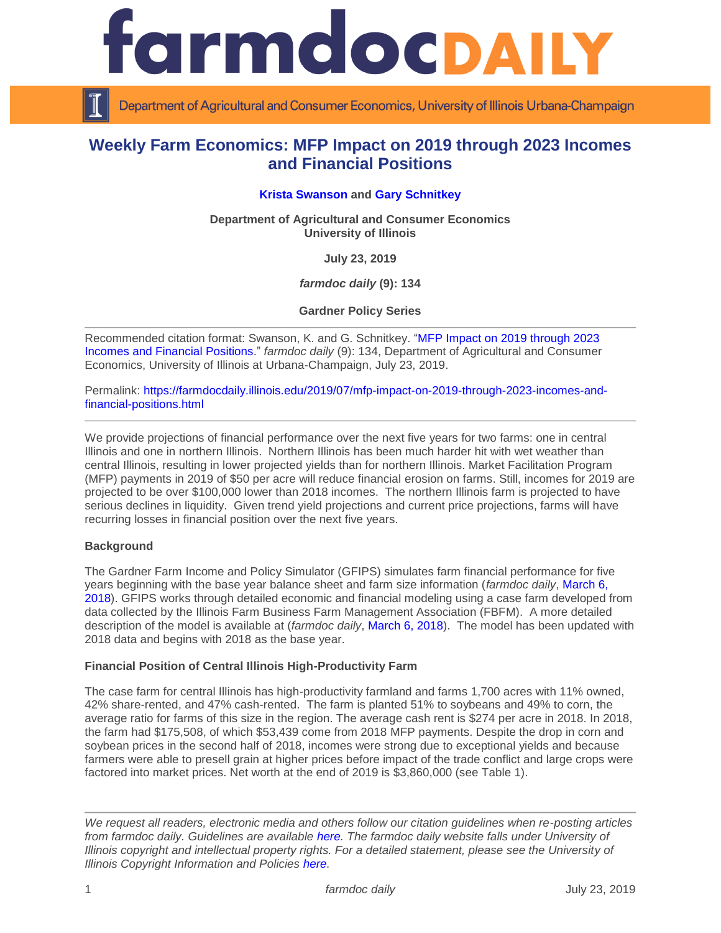

Department of Agricultural and Consumer Economics, University of Illinois Urbana-Champaign

## **Weekly Farm Economics: MFP Impact on 2019 through 2023 Incomes and Financial Positions**

## **[Krista Swanson](https://ace.illinois.edu/directory/krista) and [Gary Schnitkey](https://ace.illinois.edu/directory/schnitke)**

**Department of Agricultural and Consumer Economics University of Illinois**

**July 23, 2019**

*farmdoc daily* **(9): 134**

**Gardner Policy Series**

Recommended citation format: Swanson, K. and G. Schnitkey. ["MFP Impact on 2019 through 2023](https://farmdocdaily.illinois.edu/2019/07/mfp-impact-on-2019-through-2023-incomes-and-financial-positions.html)  [Incomes and Financial Positions.](https://farmdocdaily.illinois.edu/2019/07/mfp-impact-on-2019-through-2023-incomes-and-financial-positions.html)" *farmdoc daily* (9): 134, Department of Agricultural and Consumer Economics, University of Illinois at Urbana-Champaign, July 23, 2019.

Permalink: [https://farmdocdaily.illinois.edu/2019/07/mfp-impact-on-2019-through-2023-incomes-and](https://farmdocdaily.illinois.edu/2019/07/mfp-impact-on-2019-through-2023-incomes-and-financial-positions.html)[financial-positions.html](https://farmdocdaily.illinois.edu/2019/07/mfp-impact-on-2019-through-2023-incomes-and-financial-positions.html)

We provide projections of financial performance over the next five years for two farms: one in central Illinois and one in northern Illinois. Northern Illinois has been much harder hit with wet weather than central Illinois, resulting in lower projected yields than for northern Illinois. Market Facilitation Program (MFP) payments in 2019 of \$50 per acre will reduce financial erosion on farms. Still, incomes for 2019 are projected to be over \$100,000 lower than 2018 incomes. The northern Illinois farm is projected to have serious declines in liquidity. Given trend yield projections and current price projections, farms will have recurring losses in financial position over the next five years.

#### **Background**

The Gardner Farm Income and Policy Simulator (GFIPS) simulates farm financial performance for five years beginning with the base year balance sheet and farm size information (*farmdoc daily*, [March 6,](https://farmdocdaily.illinois.edu/2018/03/introduce-gardner-farm-income-policy-simulator.html)  [2018\)](https://farmdocdaily.illinois.edu/2018/03/introduce-gardner-farm-income-policy-simulator.html). GFIPS works through detailed economic and financial modeling using a case farm developed from data collected by the Illinois Farm Business Farm Management Association (FBFM). A more detailed description of the model is available at (*farmdoc daily*, [March 6, 2018\)](https://farmdocdaily.illinois.edu/2018/03/introduce-gardner-farm-income-policy-simulator.html). The model has been updated with 2018 data and begins with 2018 as the base year.

#### **Financial Position of Central Illinois High-Productivity Farm**

The case farm for central Illinois has high-productivity farmland and farms 1,700 acres with 11% owned, 42% share-rented, and 47% cash-rented. The farm is planted 51% to soybeans and 49% to corn, the average ratio for farms of this size in the region. The average cash rent is \$274 per acre in 2018. In 2018, the farm had \$175,508, of which \$53,439 come from 2018 MFP payments. Despite the drop in corn and soybean prices in the second half of 2018, incomes were strong due to exceptional yields and because farmers were able to presell grain at higher prices before impact of the trade conflict and large crops were factored into market prices. Net worth at the end of 2019 is \$3,860,000 (see Table 1).

*We request all readers, electronic media and others follow our citation guidelines when re-posting articles from farmdoc daily. Guidelines are available [here.](http://farmdocdaily.illinois.edu/citationguide.html) The farmdoc daily website falls under University of Illinois copyright and intellectual property rights. For a detailed statement, please see the University of Illinois Copyright Information and Policies [here.](http://www.cio.illinois.edu/policies/copyright/)*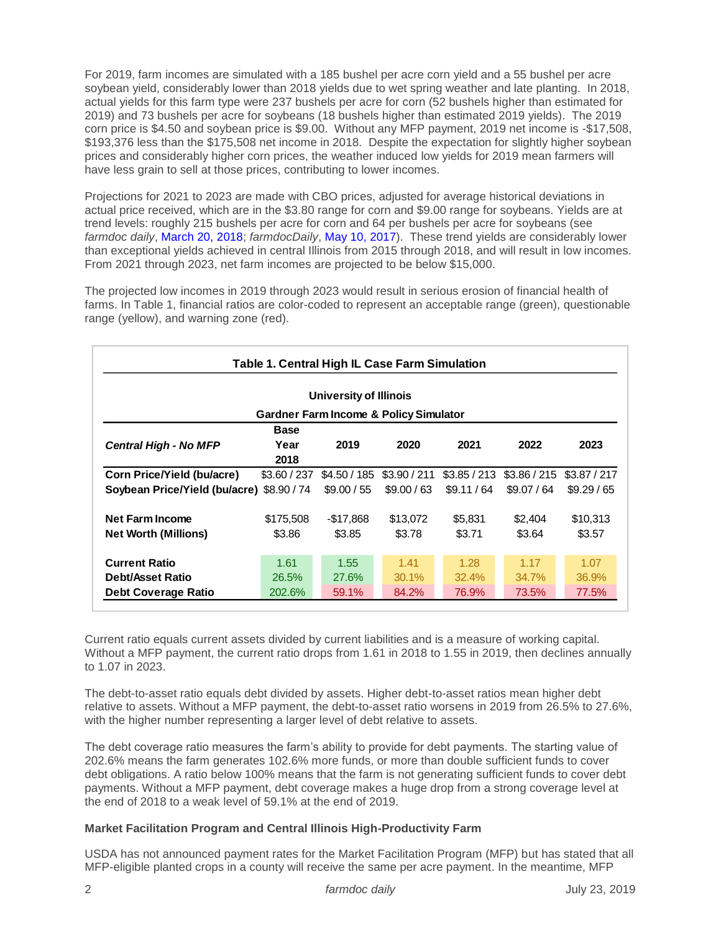For 2019, farm incomes are simulated with a 185 bushel per acre corn yield and a 55 bushel per acre soybean yield, considerably lower than 2018 yields due to wet spring weather and late planting. In 2018, actual yields for this farm type were 237 bushels per acre for corn (52 bushels higher than estimated for 2019) and 73 bushels per acre for soybeans (18 bushels higher than estimated 2019 yields). The 2019 corn price is \$4.50 and soybean price is \$9.00. Without any MFP payment, 2019 net income is -\$17,508, \$193,376 less than the \$175,508 net income in 2018. Despite the expectation for slightly higher soybean prices and considerably higher corn prices, the weather induced low yields for 2019 mean farmers will have less grain to sell at those prices, contributing to lower incomes.

Projections for 2021 to 2023 are made with CBO prices, adjusted for average historical deviations in actual price received, which are in the \$3.80 range for corn and \$9.00 range for soybeans. Yields are at trend levels: roughly 215 bushels per acre for corn and 64 per bushels per acre for soybeans (see *farmdoc daily*, [March 20, 2018;](https://farmdocdaily.illinois.edu/2018/03/exceptional-corn-and-soybean-yields-in-2017.html) *farmdocDaily*, [May 10, 2017\)](https://farmdocdaily.illinois.edu/2017/05/whats-driving-the-non-linear-trend-us-soybean.html). These trend yields are considerably lower than exceptional yields achieved in central Illinois from 2015 through 2018, and will result in low incomes. From 2021 through 2023, net farm incomes are projected to be below \$15,000.

The projected low incomes in 2019 through 2023 would result in serious erosion of financial health of farms. In Table 1, financial ratios are color-coded to represent an acceptable range (green), questionable range (yellow), and warning zone (red).

| Table 1. Central High IL Case Farm Simulation |              |                                                   |              |              |              |              |  |  |  |
|-----------------------------------------------|--------------|---------------------------------------------------|--------------|--------------|--------------|--------------|--|--|--|
| University of Illinois                        |              |                                                   |              |              |              |              |  |  |  |
|                                               |              | <b>Gardner Farm Income &amp; Policy Simulator</b> |              |              |              |              |  |  |  |
|                                               | <b>Base</b>  |                                                   |              |              |              |              |  |  |  |
| <b>Central High - No MFP</b>                  | Year         | 2019                                              | 2020         | 2021         | 2022         | 2023         |  |  |  |
|                                               | 2018         |                                                   |              |              |              |              |  |  |  |
| Corn Price/Yield (bu/acre)                    | \$3.60 / 237 | \$4.50/185                                        | \$3.90 / 211 | \$3.85 / 213 | \$3.86 / 215 | \$3.87 / 217 |  |  |  |
| Soybean Price/Yield (bu/acre) \$8.90 / 74     |              | \$9.00 / 55                                       | \$9.00 / 63  | \$9.11 / 64  | \$9.07 / 64  | \$9.29/65    |  |  |  |
| <b>Net Farm Income</b>                        | \$175,508    | $-$17,868$                                        | \$13,072     | \$5,831      | \$2,404      | \$10,313     |  |  |  |
| <b>Net Worth (Millions)</b>                   | \$3.86       | \$3.85                                            | \$3.78       | \$3.71       | \$3.64       | \$3.57       |  |  |  |
| <b>Current Ratio</b>                          | 1.61         | 1.55                                              | 1.41         | 1.28         | 1.17         | 1.07         |  |  |  |
| <b>Debt/Asset Ratio</b>                       | 26.5%        | 27.6%                                             | 30.1%        | 32.4%        | 34.7%        | 36.9%        |  |  |  |
| <b>Debt Coverage Ratio</b>                    | 202.6%       | 59.1%                                             | 84.2%        | 76.9%        | 73.5%        | 77.5%        |  |  |  |

Current ratio equals current assets divided by current liabilities and is a measure of working capital. Without a MFP payment, the current ratio drops from 1.61 in 2018 to 1.55 in 2019, then declines annually to 1.07 in 2023.

The debt-to-asset ratio equals debt divided by assets. Higher debt-to-asset ratios mean higher debt relative to assets. Without a MFP payment, the debt-to-asset ratio worsens in 2019 from 26.5% to 27.6%, with the higher number representing a larger level of debt relative to assets.

The debt coverage ratio measures the farm's ability to provide for debt payments. The starting value of 202.6% means the farm generates 102.6% more funds, or more than double sufficient funds to cover debt obligations. A ratio below 100% means that the farm is not generating sufficient funds to cover debt payments. Without a MFP payment, debt coverage makes a huge drop from a strong coverage level at the end of 2018 to a weak level of 59.1% at the end of 2019.

## **Market Facilitation Program and Central Illinois High-Productivity Farm**

USDA has not announced payment rates for the Market Facilitation Program (MFP) but has stated that all MFP-eligible planted crops in a county will receive the same per acre payment. In the meantime, MFP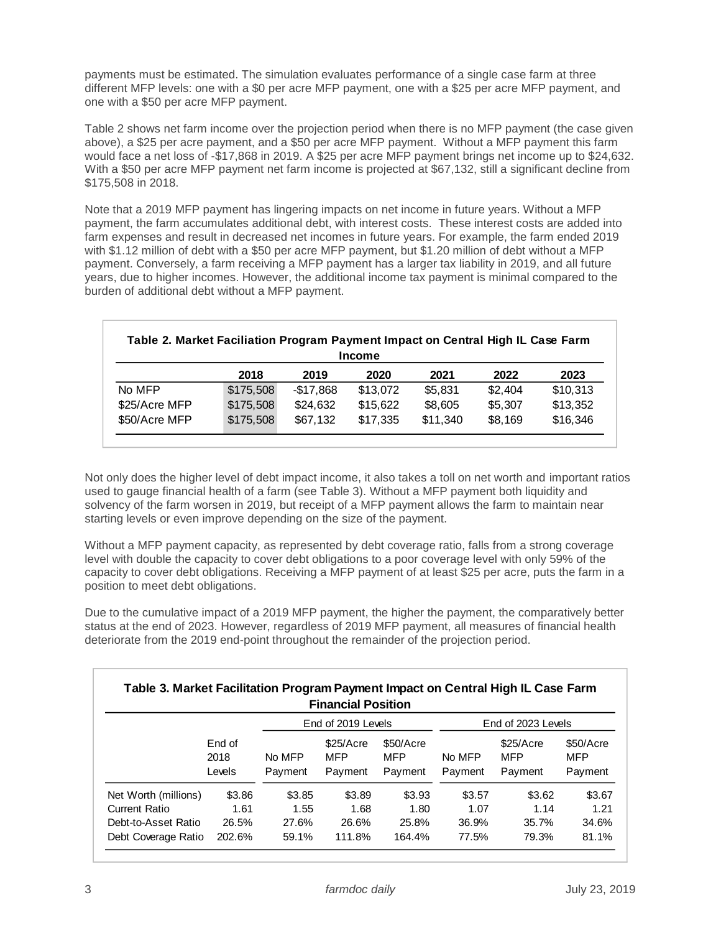payments must be estimated. The simulation evaluates performance of a single case farm at three different MFP levels: one with a \$0 per acre MFP payment, one with a \$25 per acre MFP payment, and one with a \$50 per acre MFP payment.

Table 2 shows net farm income over the projection period when there is no MFP payment (the case given above), a \$25 per acre payment, and a \$50 per acre MFP payment. Without a MFP payment this farm would face a net loss of -\$17,868 in 2019. A \$25 per acre MFP payment brings net income up to \$24,632. With a \$50 per acre MFP payment net farm income is projected at \$67,132, still a significant decline from \$175,508 in 2018.

Note that a 2019 MFP payment has lingering impacts on net income in future years. Without a MFP payment, the farm accumulates additional debt, with interest costs. These interest costs are added into farm expenses and result in decreased net incomes in future years. For example, the farm ended 2019 with \$1.12 million of debt with a \$50 per acre MFP payment, but \$1.20 million of debt without a MFP payment. Conversely, a farm receiving a MFP payment has a larger tax liability in 2019, and all future years, due to higher incomes. However, the additional income tax payment is minimal compared to the burden of additional debt without a MFP payment.

| <b>Income</b> |           |            |          |          |         |          |  |  |
|---------------|-----------|------------|----------|----------|---------|----------|--|--|
|               | 2018      | 2019       | 2020     | 2021     | 2022    | 2023     |  |  |
| No MFP        | \$175,508 | $-$17,868$ | \$13,072 | \$5,831  | \$2,404 | \$10,313 |  |  |
| \$25/Acre MFP | \$175,508 | \$24,632   | \$15,622 | \$8,605  | \$5,307 | \$13,352 |  |  |
| \$50/Acre MFP | \$175,508 | \$67,132   | \$17,335 | \$11,340 | \$8,169 | \$16,346 |  |  |

Not only does the higher level of debt impact income, it also takes a toll on net worth and important ratios used to gauge financial health of a farm (see Table 3). Without a MFP payment both liquidity and solvency of the farm worsen in 2019, but receipt of a MFP payment allows the farm to maintain near starting levels or even improve depending on the size of the payment.

Without a MFP payment capacity, as represented by debt coverage ratio, falls from a strong coverage level with double the capacity to cover debt obligations to a poor coverage level with only 59% of the capacity to cover debt obligations. Receiving a MFP payment of at least \$25 per acre, puts the farm in a position to meet debt obligations.

Due to the cumulative impact of a 2019 MFP payment, the higher the payment, the comparatively better status at the end of 2023. However, regardless of 2019 MFP payment, all measures of financial health deteriorate from the 2019 end-point throughout the remainder of the projection period.

| Table 3. Market Facilitation Program Payment Impact on Central High IL Case Farm |                          |                   | <b>Financial Position</b>           |                                    |                    |                              |                             |
|----------------------------------------------------------------------------------|--------------------------|-------------------|-------------------------------------|------------------------------------|--------------------|------------------------------|-----------------------------|
|                                                                                  |                          |                   | End of 2019 Levels                  |                                    | End of 2023 Levels |                              |                             |
|                                                                                  | End of<br>2018<br>Levels | No MFP<br>Payment | \$25/Accre<br><b>MFP</b><br>Payment | \$50/Acre<br><b>MFP</b><br>Payment | No MFP<br>Payment  | \$25/Accre<br>MFP<br>Payment | \$50/Acre<br>MFP<br>Payment |
| Net Worth (millions)                                                             | \$3.86                   | \$3.85            | \$3.89                              | \$3.93                             | \$3.57             | \$3.62                       | \$3.67                      |
| <b>Current Ratio</b>                                                             | 1.61                     | 1.55              | 1.68                                | 1.80                               | 1.07               | 1.14                         | 1.21                        |
| Debt-to-Asset Ratio                                                              | 26.5%                    | 27.6%             | 26.6%                               | 25.8%                              | 36.9%              | 35.7%                        | 34.6%                       |
| Debt Coverage Ratio                                                              | 202.6%                   | 59.1%             | 111.8%                              | 164.4%                             | 77.5%              | 79.3%                        | 81.1%                       |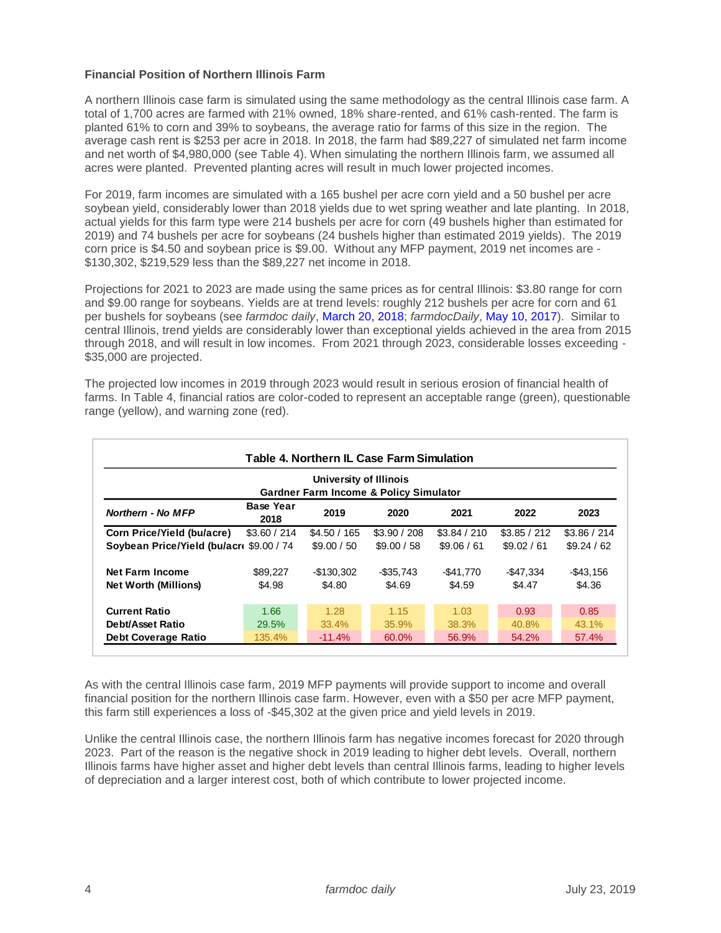### **Financial Position of Northern Illinois Farm**

A northern Illinois case farm is simulated using the same methodology as the central Illinois case farm. A total of 1,700 acres are farmed with 21% owned, 18% share-rented, and 61% cash-rented. The farm is planted 61% to corn and 39% to soybeans, the average ratio for farms of this size in the region. The average cash rent is \$253 per acre in 2018. In 2018, the farm had \$89,227 of simulated net farm income and net worth of \$4,980,000 (see Table 4). When simulating the northern Illinois farm, we assumed all acres were planted. Prevented planting acres will result in much lower projected incomes.

For 2019, farm incomes are simulated with a 165 bushel per acre corn yield and a 50 bushel per acre soybean yield, considerably lower than 2018 yields due to wet spring weather and late planting. In 2018, actual yields for this farm type were 214 bushels per acre for corn (49 bushels higher than estimated for 2019) and 74 bushels per acre for soybeans (24 bushels higher than estimated 2019 yields). The 2019 corn price is \$4.50 and soybean price is \$9.00. Without any MFP payment, 2019 net incomes are - \$130,302, \$219,529 less than the \$89,227 net income in 2018.

Projections for 2021 to 2023 are made using the same prices as for central Illinois: \$3.80 range for corn and \$9.00 range for soybeans. Yields are at trend levels: roughly 212 bushels per acre for corn and 61 per bushels for soybeans (see *farmdoc daily*, [March 20, 2018;](https://farmdocdaily.illinois.edu/2018/03/exceptional-corn-and-soybean-yields-in-2017.html) *farmdocDaily*, [May 10, 2017\)](https://farmdocdaily.illinois.edu/2017/05/whats-driving-the-non-linear-trend-us-soybean.html). Similar to central Illinois, trend yields are considerably lower than exceptional yields achieved in the area from 2015 through 2018, and will result in low incomes. From 2021 through 2023, considerable losses exceeding - \$35,000 are projected.

The projected low incomes in 2019 through 2023 would result in serious erosion of financial health of farms. In Table 4, financial ratios are color-coded to represent an acceptable range (green), questionable range (yellow), and warning zone (red).

| University of Illinois<br><b>Gardner Farm Income &amp; Policy Simulator</b> |                          |             |              |              |              |              |  |  |
|-----------------------------------------------------------------------------|--------------------------|-------------|--------------|--------------|--------------|--------------|--|--|
| Northern - No MFP                                                           | <b>Base Year</b><br>2018 | 2019        | 2020         | 2021         | 2022         | 2023         |  |  |
| Corn Price/Yield (bu/acre)                                                  | \$3.60 / 214             | \$4.50/165  | \$3.90 / 208 | \$3.84 / 210 | \$3.85 / 212 | \$3.86 / 214 |  |  |
| Soybean Price/Yield (bu/acr \$9.00 / 74                                     |                          | \$9.00 / 50 | \$9.00 / 58  | \$9.06 / 61  | \$9.02 / 61  | \$9.24 / 62  |  |  |
| <b>Net Farm Income</b>                                                      | \$89,227                 | -\$130.302  | $-$ \$35.743 | $-$ \$41,770 | $-$ \$47.334 | $-$ \$43.156 |  |  |
| <b>Net Worth (Millions)</b>                                                 | \$4.98                   | \$4.80      | \$4.69       | \$4.59       | \$4.47       | \$4.36       |  |  |
| <b>Current Ratio</b>                                                        | 1.66                     | 1.28        | 1.15         | 1.03         | 0.93         | 0.85         |  |  |
| Debt/Asset Ratio                                                            | 29.5%                    | 33.4%       | 35.9%        | 38.3%        | 40.8%        | 43.1%        |  |  |
| <b>Debt Coverage Ratio</b>                                                  | 135.4%                   | $-11.4%$    | 60.0%        | 56.9%        | 54.2%        | 57.4%        |  |  |

As with the central Illinois case farm, 2019 MFP payments will provide support to income and overall financial position for the northern Illinois case farm. However, even with a \$50 per acre MFP payment, this farm still experiences a loss of -\$45,302 at the given price and yield levels in 2019.

Unlike the central Illinois case, the northern Illinois farm has negative incomes forecast for 2020 through 2023. Part of the reason is the negative shock in 2019 leading to higher debt levels. Overall, northern Illinois farms have higher asset and higher debt levels than central Illinois farms, leading to higher levels of depreciation and a larger interest cost, both of which contribute to lower projected income.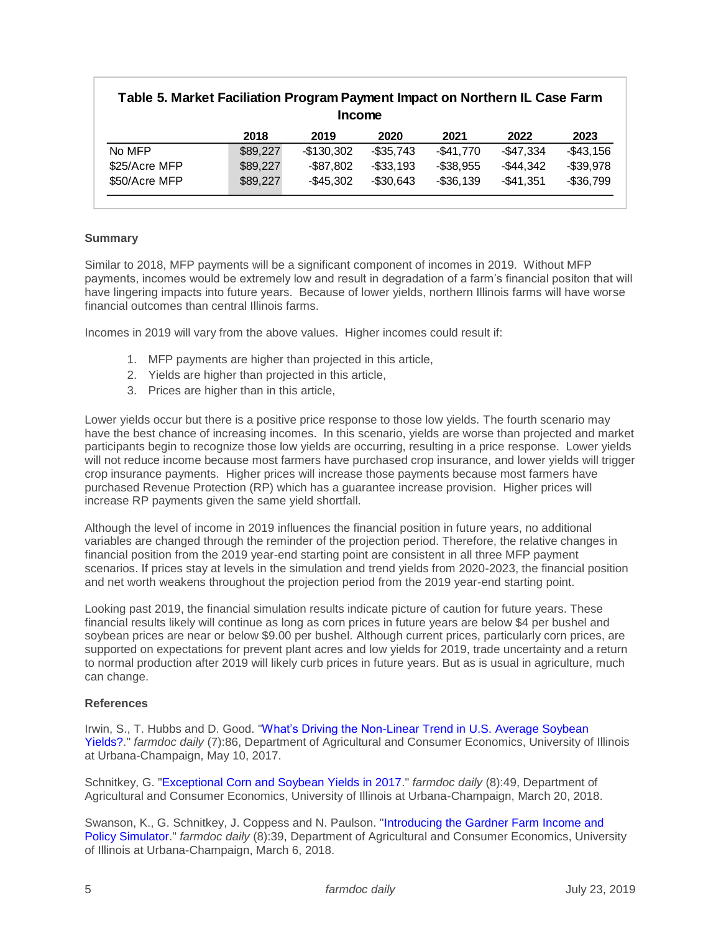# **2018 2019 2020 2021 2022 2023** No MFP \$89,227 -\$130,302 -\$35,743 -\$41,770 -\$47,334 -\$43,156 \$25/Acre MFP \$89,227 -\$87,802 -\$33,193 -\$38,955 -\$44,342 -\$39,978 \$50/Acre MFP \$89,227 -\$45,302 -\$30,643 -\$36,139 -\$41,351 -\$36,799 **Table 5. Market Faciliation Program Payment Impact on Northern IL Case Farm Income**

### **Summary**

Similar to 2018, MFP payments will be a significant component of incomes in 2019. Without MFP payments, incomes would be extremely low and result in degradation of a farm's financial positon that will have lingering impacts into future years. Because of lower yields, northern Illinois farms will have worse financial outcomes than central Illinois farms.

Incomes in 2019 will vary from the above values. Higher incomes could result if:

- 1. MFP payments are higher than projected in this article,
- 2. Yields are higher than projected in this article,
- 3. Prices are higher than in this article,

Lower yields occur but there is a positive price response to those low yields. The fourth scenario may have the best chance of increasing incomes. In this scenario, yields are worse than projected and market participants begin to recognize those low yields are occurring, resulting in a price response. Lower yields will not reduce income because most farmers have purchased crop insurance, and lower yields will trigger crop insurance payments. Higher prices will increase those payments because most farmers have purchased Revenue Protection (RP) which has a guarantee increase provision. Higher prices will increase RP payments given the same yield shortfall.

Although the level of income in 2019 influences the financial position in future years, no additional variables are changed through the reminder of the projection period. Therefore, the relative changes in financial position from the 2019 year-end starting point are consistent in all three MFP payment scenarios. If prices stay at levels in the simulation and trend yields from 2020-2023, the financial position and net worth weakens throughout the projection period from the 2019 year-end starting point.

Looking past 2019, the financial simulation results indicate picture of caution for future years. These financial results likely will continue as long as corn prices in future years are below \$4 per bushel and soybean prices are near or below \$9.00 per bushel. Although current prices, particularly corn prices, are supported on expectations for prevent plant acres and low yields for 2019, trade uncertainty and a return to normal production after 2019 will likely curb prices in future years. But as is usual in agriculture, much can change.

#### **References**

Irwin, S., T. Hubbs and D. Good. "What's Driving the Non-Linear Trend in U.S. Average Soybean [Yields?.](https://farmdocdaily.illinois.edu/2017/05/whats-driving-the-non-linear-trend-us-soybean.html)" *farmdoc daily* (7):86, Department of Agricultural and Consumer Economics, University of Illinois at Urbana-Champaign, May 10, 2017.

Schnitkey, G. ["Exceptional Corn and Soybean Yields in 2017.](https://farmdocdaily.illinois.edu/2018/03/exceptional-corn-and-soybean-yields-in-2017.html)" *farmdoc daily* (8):49, Department of Agricultural and Consumer Economics, University of Illinois at Urbana-Champaign, March 20, 2018.

Swanson, K., G. Schnitkey, J. Coppess and N. Paulson. ["Introducing the Gardner Farm Income and](https://farmdocdaily.illinois.edu/2018/03/introduce-gardner-farm-income-policy-simulator.html)  [Policy Simulator.](https://farmdocdaily.illinois.edu/2018/03/introduce-gardner-farm-income-policy-simulator.html)" *farmdoc daily* (8):39, Department of Agricultural and Consumer Economics, University of Illinois at Urbana-Champaign, March 6, 2018.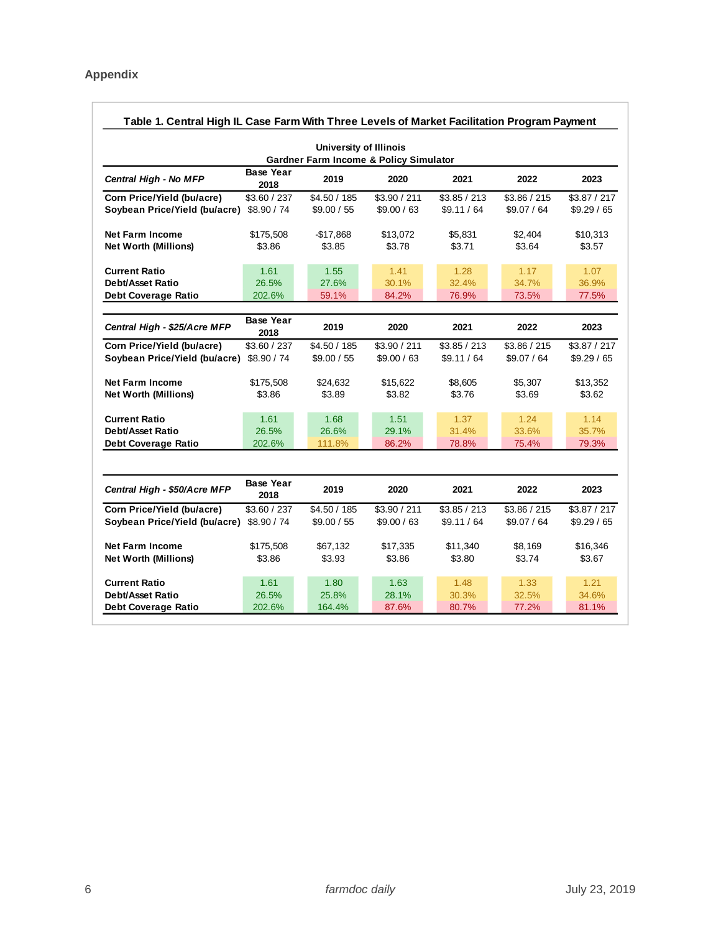| <b>University of Illinois</b><br><b>Gardner Farm Income &amp; Policy Simulator</b><br><b>Base Year</b><br>2019<br>2020<br>Central High - No MFP<br>2021<br>2022<br>2018<br>Corn Price/Yield (bu/acre)<br>\$4.50 / 185<br>\$3.90 / 211<br>\$3.85 / 213<br>\$3.86 / 215<br>\$3.60 / 237<br>Soybean Price/Yield (bu/acre)<br>\$9.00 / 55<br>\$9.00 / 63<br>\$9.11 / 64<br>\$9.07 / 64<br>\$8.90 / 74<br><b>Net Farm Income</b><br>\$5,831<br>\$2.404<br>\$175,508<br>$-$17,868$<br>\$13,072<br>\$3.71<br><b>Net Worth (Millions)</b><br>\$3.86<br>\$3.85<br>\$3.78<br>\$3.64<br><b>Current Ratio</b><br>1.61<br>1.55<br>1.41<br>1.28<br>1.17<br><b>Debt/Asset Ratio</b><br>26.5%<br>27.6%<br>30.1%<br>32.4%<br>34.7%<br>84.2%<br>76.9%<br><b>Debt Coverage Ratio</b><br>202.6%<br>59.1%<br>73.5%<br><b>Base Year</b><br>Central High - \$25/Acre MFP<br>2019<br>2020<br>2021<br>2022<br>2018<br>Corn Price/Yield (bu/acre)<br>\$3.60 / 237<br>\$4.50 / 185<br>\$3.90 / 211<br>\$3.85 / 213<br>\$3.86 / 215<br>Soybean Price/Yield (bu/acre)<br>\$8.90 / 74<br>\$9.00 / 55<br>\$9.00 / 63<br>\$9.11 / 64<br>\$9.07 / 64<br><b>Net Farm Income</b><br>\$175,508<br>\$24,632<br>\$15,622<br>\$8,605<br>\$5,307<br>\$3.76<br><b>Net Worth (Millions)</b><br>\$3.86<br>\$3.89<br>\$3.82<br>\$3.69<br><b>Current Ratio</b><br>1.68<br>1.51<br>1.24<br>1.61<br>1.37<br>26.6%<br><b>Debt/Asset Ratio</b><br>26.5%<br>29.1%<br>31.4%<br>33.6%<br>86.2%<br>78.8%<br><b>Debt Coverage Ratio</b><br>202.6%<br>111.8%<br>75.4%<br><b>Base Year</b><br>Central High - \$50/Acre MFP<br>2019<br>2020<br>2021<br>2022<br>2018<br>Corn Price/Yield (bu/acre)<br>\$4.50 / 185<br>\$3.90 / 211<br>\$3.85 / 213<br>\$3.86 / 215<br>\$3.60 / 237<br>Soybean Price/Yield (bu/acre)<br>\$8.90 / 74<br>\$9.00 / 63<br>\$9.11 / 64<br>\$9.07 / 64<br>\$9.00 / 55<br><b>Net Farm Income</b><br>\$8,169<br>\$175,508<br>\$67,132<br>\$17,335<br>\$11,340 | Table 1. Central High IL Case Farm With Three Levels of Market Facilitation Program Payment |  |  |  |  |  |                             |  |  |
|----------------------------------------------------------------------------------------------------------------------------------------------------------------------------------------------------------------------------------------------------------------------------------------------------------------------------------------------------------------------------------------------------------------------------------------------------------------------------------------------------------------------------------------------------------------------------------------------------------------------------------------------------------------------------------------------------------------------------------------------------------------------------------------------------------------------------------------------------------------------------------------------------------------------------------------------------------------------------------------------------------------------------------------------------------------------------------------------------------------------------------------------------------------------------------------------------------------------------------------------------------------------------------------------------------------------------------------------------------------------------------------------------------------------------------------------------------------------------------------------------------------------------------------------------------------------------------------------------------------------------------------------------------------------------------------------------------------------------------------------------------------------------------------------------------------------------------------------------------------------------------------------------------------------------|---------------------------------------------------------------------------------------------|--|--|--|--|--|-----------------------------|--|--|
|                                                                                                                                                                                                                                                                                                                                                                                                                                                                                                                                                                                                                                                                                                                                                                                                                                                                                                                                                                                                                                                                                                                                                                                                                                                                                                                                                                                                                                                                                                                                                                                                                                                                                                                                                                                                                                                                                                                            |                                                                                             |  |  |  |  |  |                             |  |  |
|                                                                                                                                                                                                                                                                                                                                                                                                                                                                                                                                                                                                                                                                                                                                                                                                                                                                                                                                                                                                                                                                                                                                                                                                                                                                                                                                                                                                                                                                                                                                                                                                                                                                                                                                                                                                                                                                                                                            |                                                                                             |  |  |  |  |  | 2023                        |  |  |
|                                                                                                                                                                                                                                                                                                                                                                                                                                                                                                                                                                                                                                                                                                                                                                                                                                                                                                                                                                                                                                                                                                                                                                                                                                                                                                                                                                                                                                                                                                                                                                                                                                                                                                                                                                                                                                                                                                                            |                                                                                             |  |  |  |  |  | \$3.87 / 217<br>\$9.29 / 65 |  |  |
|                                                                                                                                                                                                                                                                                                                                                                                                                                                                                                                                                                                                                                                                                                                                                                                                                                                                                                                                                                                                                                                                                                                                                                                                                                                                                                                                                                                                                                                                                                                                                                                                                                                                                                                                                                                                                                                                                                                            |                                                                                             |  |  |  |  |  | \$10,313<br>\$3.57          |  |  |
|                                                                                                                                                                                                                                                                                                                                                                                                                                                                                                                                                                                                                                                                                                                                                                                                                                                                                                                                                                                                                                                                                                                                                                                                                                                                                                                                                                                                                                                                                                                                                                                                                                                                                                                                                                                                                                                                                                                            |                                                                                             |  |  |  |  |  | 1.07<br>36.9%<br>77.5%      |  |  |
|                                                                                                                                                                                                                                                                                                                                                                                                                                                                                                                                                                                                                                                                                                                                                                                                                                                                                                                                                                                                                                                                                                                                                                                                                                                                                                                                                                                                                                                                                                                                                                                                                                                                                                                                                                                                                                                                                                                            |                                                                                             |  |  |  |  |  |                             |  |  |
|                                                                                                                                                                                                                                                                                                                                                                                                                                                                                                                                                                                                                                                                                                                                                                                                                                                                                                                                                                                                                                                                                                                                                                                                                                                                                                                                                                                                                                                                                                                                                                                                                                                                                                                                                                                                                                                                                                                            |                                                                                             |  |  |  |  |  | 2023                        |  |  |
|                                                                                                                                                                                                                                                                                                                                                                                                                                                                                                                                                                                                                                                                                                                                                                                                                                                                                                                                                                                                                                                                                                                                                                                                                                                                                                                                                                                                                                                                                                                                                                                                                                                                                                                                                                                                                                                                                                                            |                                                                                             |  |  |  |  |  | \$3.87 / 217<br>\$9.29 / 65 |  |  |
|                                                                                                                                                                                                                                                                                                                                                                                                                                                                                                                                                                                                                                                                                                                                                                                                                                                                                                                                                                                                                                                                                                                                                                                                                                                                                                                                                                                                                                                                                                                                                                                                                                                                                                                                                                                                                                                                                                                            |                                                                                             |  |  |  |  |  | \$13,352<br>\$3.62          |  |  |
|                                                                                                                                                                                                                                                                                                                                                                                                                                                                                                                                                                                                                                                                                                                                                                                                                                                                                                                                                                                                                                                                                                                                                                                                                                                                                                                                                                                                                                                                                                                                                                                                                                                                                                                                                                                                                                                                                                                            |                                                                                             |  |  |  |  |  | 1.14<br>35.7%<br>79.3%      |  |  |
|                                                                                                                                                                                                                                                                                                                                                                                                                                                                                                                                                                                                                                                                                                                                                                                                                                                                                                                                                                                                                                                                                                                                                                                                                                                                                                                                                                                                                                                                                                                                                                                                                                                                                                                                                                                                                                                                                                                            |                                                                                             |  |  |  |  |  |                             |  |  |
|                                                                                                                                                                                                                                                                                                                                                                                                                                                                                                                                                                                                                                                                                                                                                                                                                                                                                                                                                                                                                                                                                                                                                                                                                                                                                                                                                                                                                                                                                                                                                                                                                                                                                                                                                                                                                                                                                                                            |                                                                                             |  |  |  |  |  | 2023                        |  |  |
|                                                                                                                                                                                                                                                                                                                                                                                                                                                                                                                                                                                                                                                                                                                                                                                                                                                                                                                                                                                                                                                                                                                                                                                                                                                                                                                                                                                                                                                                                                                                                                                                                                                                                                                                                                                                                                                                                                                            |                                                                                             |  |  |  |  |  | \$3.87 / 217<br>\$9.29 / 65 |  |  |
| \$3.93<br>\$3.86<br>\$3.80<br>\$3.74<br><b>Net Worth (Millions)</b><br>\$3.86                                                                                                                                                                                                                                                                                                                                                                                                                                                                                                                                                                                                                                                                                                                                                                                                                                                                                                                                                                                                                                                                                                                                                                                                                                                                                                                                                                                                                                                                                                                                                                                                                                                                                                                                                                                                                                              |                                                                                             |  |  |  |  |  | \$16,346<br>\$3.67          |  |  |
| <b>Current Ratio</b><br>1.61<br>1.80<br>1.63<br>1.48<br>1.33<br><b>Debt/Asset Ratio</b><br>26.5%<br>25.8%<br>28.1%<br>30.3%<br>32.5%<br>80.7%<br>77.2%<br><b>Debt Coverage Ratio</b><br>202.6%<br>164.4%<br>87.6%                                                                                                                                                                                                                                                                                                                                                                                                                                                                                                                                                                                                                                                                                                                                                                                                                                                                                                                                                                                                                                                                                                                                                                                                                                                                                                                                                                                                                                                                                                                                                                                                                                                                                                          |                                                                                             |  |  |  |  |  | 1.21<br>34.6%<br>81.1%      |  |  |